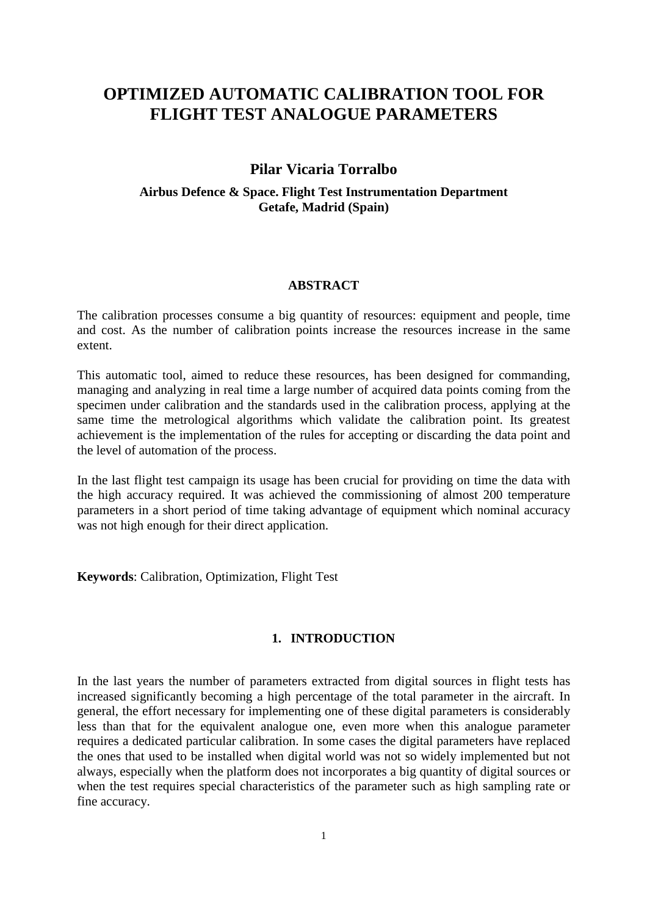# **OPTIMIZED AUTOMATIC CALIBRATION TOOL FOR FLIGHT TEST ANALOGUE PARAMETERS**

# **Pilar Vicaria Torralbo**

# **Airbus Defence & Space. Flight Test Instrumentation Department Getafe, Madrid (Spain)**

## **ABSTRACT**

The calibration processes consume a big quantity of resources: equipment and people, time and cost. As the number of calibration points increase the resources increase in the same extent.

This automatic tool, aimed to reduce these resources, has been designed for commanding, managing and analyzing in real time a large number of acquired data points coming from the specimen under calibration and the standards used in the calibration process, applying at the same time the metrological algorithms which validate the calibration point. Its greatest achievement is the implementation of the rules for accepting or discarding the data point and the level of automation of the process.

In the last flight test campaign its usage has been crucial for providing on time the data with the high accuracy required. It was achieved the commissioning of almost 200 temperature parameters in a short period of time taking advantage of equipment which nominal accuracy was not high enough for their direct application.

**Keywords**: Calibration, Optimization, Flight Test

## **1. INTRODUCTION**

In the last years the number of parameters extracted from digital sources in flight tests has increased significantly becoming a high percentage of the total parameter in the aircraft. In general, the effort necessary for implementing one of these digital parameters is considerably less than that for the equivalent analogue one, even more when this analogue parameter requires a dedicated particular calibration. In some cases the digital parameters have replaced the ones that used to be installed when digital world was not so widely implemented but not always, especially when the platform does not incorporates a big quantity of digital sources or when the test requires special characteristics of the parameter such as high sampling rate or fine accuracy.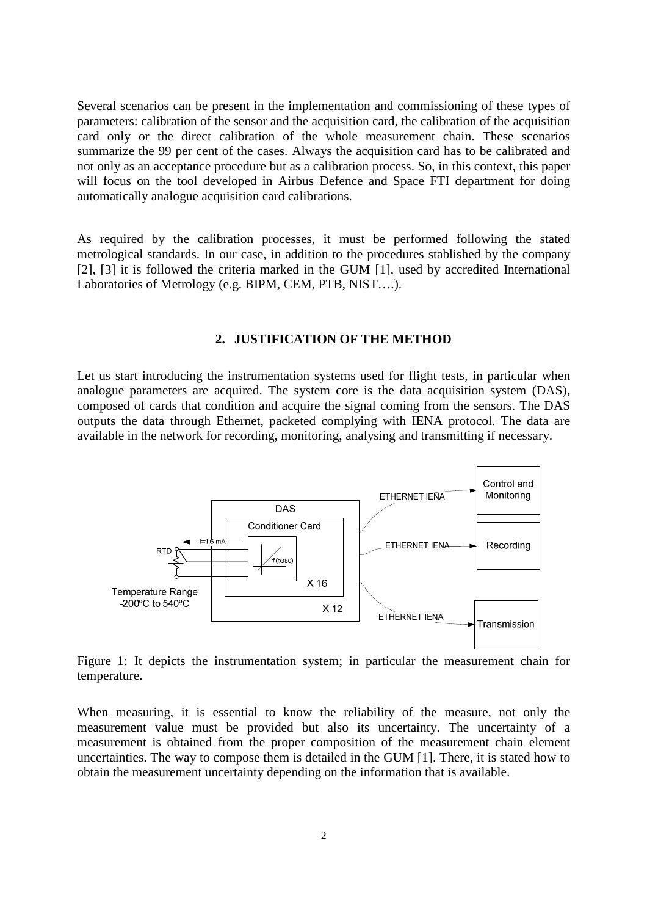Several scenarios can be present in the implementation and commissioning of these types of parameters: calibration of the sensor and the acquisition card, the calibration of the acquisition card only or the direct calibration of the whole measurement chain. These scenarios summarize the 99 per cent of the cases. Always the acquisition card has to be calibrated and not only as an acceptance procedure but as a calibration process. So, in this context, this paper will focus on the tool developed in Airbus Defence and Space FTI department for doing automatically analogue acquisition card calibrations.

As required by the calibration processes, it must be performed following the stated metrological standards. In our case, in addition to the procedures stablished by the company [2], [3] it is followed the criteria marked in the GUM [1], used by accredited International Laboratories of Metrology (e.g. BIPM, CEM, PTB, NIST….).

## **2. JUSTIFICATION OF THE METHOD**

Let us start introducing the instrumentation systems used for flight tests, in particular when analogue parameters are acquired. The system core is the data acquisition system (DAS), composed of cards that condition and acquire the signal coming from the sensors. The DAS outputs the data through Ethernet, packeted complying with IENA protocol. The data are available in the network for recording, monitoring, analysing and transmitting if necessary.



Figure 1: It depicts the instrumentation system; in particular the measurement chain for temperature.

When measuring, it is essential to know the reliability of the measure, not only the measurement value must be provided but also its uncertainty. The uncertainty of a measurement is obtained from the proper composition of the measurement chain element uncertainties. The way to compose them is detailed in the GUM [1]. There, it is stated how to obtain the measurement uncertainty depending on the information that is available.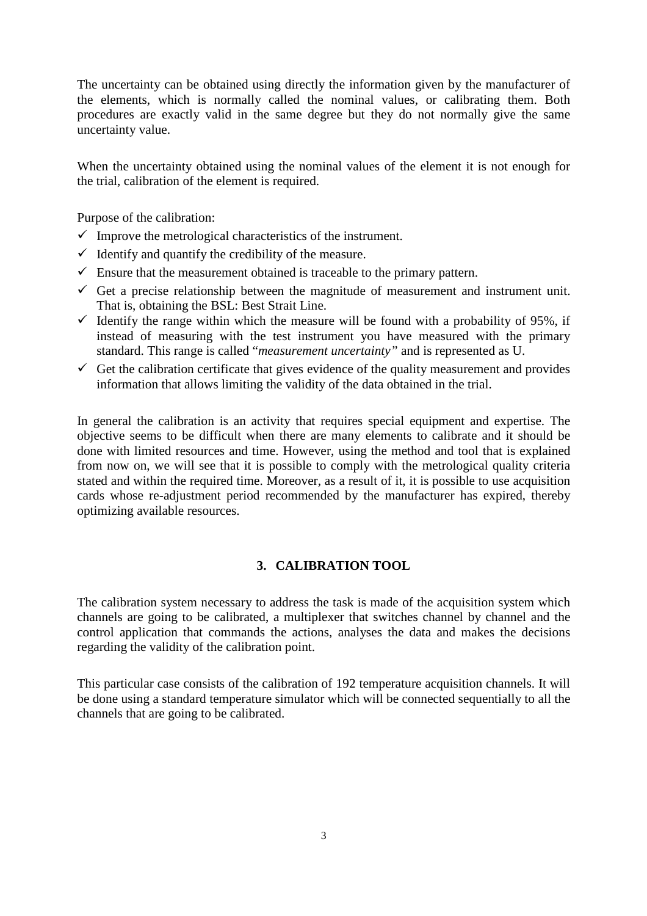The uncertainty can be obtained using directly the information given by the manufacturer of the elements, which is normally called the nominal values, or calibrating them. Both procedures are exactly valid in the same degree but they do not normally give the same uncertainty value.

When the uncertainty obtained using the nominal values of the element it is not enough for the trial, calibration of the element is required.

Purpose of the calibration:

- $\checkmark$  Improve the metrological characteristics of the instrument.
- $\checkmark$  Identify and quantify the credibility of the measure.
- $\checkmark$  Ensure that the measurement obtained is traceable to the primary pattern.
- $\checkmark$  Get a precise relationship between the magnitude of measurement and instrument unit. That is, obtaining the BSL: Best Strait Line.
- $\checkmark$  Identify the range within which the measure will be found with a probability of 95%, if instead of measuring with the test instrument you have measured with the primary standard. This range is called "*measurement uncertainty"* and is represented as U.
- $\checkmark$  Get the calibration certificate that gives evidence of the quality measurement and provides information that allows limiting the validity of the data obtained in the trial.

In general the calibration is an activity that requires special equipment and expertise. The objective seems to be difficult when there are many elements to calibrate and it should be done with limited resources and time. However, using the method and tool that is explained from now on, we will see that it is possible to comply with the metrological quality criteria stated and within the required time. Moreover, as a result of it, it is possible to use acquisition cards whose re-adjustment period recommended by the manufacturer has expired, thereby optimizing available resources.

# **3. CALIBRATION TOOL**

The calibration system necessary to address the task is made of the acquisition system which channels are going to be calibrated, a multiplexer that switches channel by channel and the control application that commands the actions, analyses the data and makes the decisions regarding the validity of the calibration point.

This particular case consists of the calibration of 192 temperature acquisition channels. It will be done using a standard temperature simulator which will be connected sequentially to all the channels that are going to be calibrated.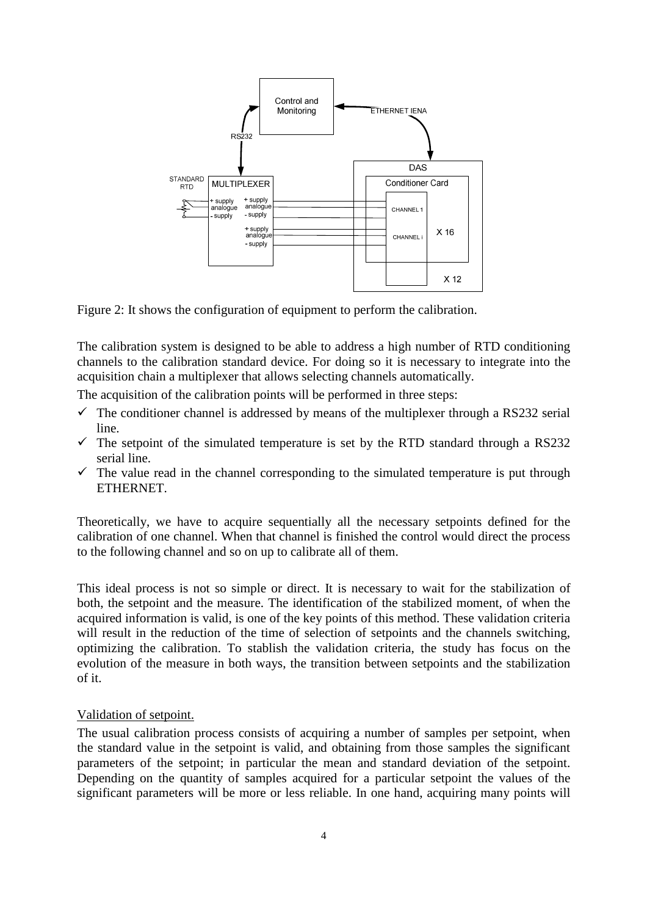

Figure 2: It shows the configuration of equipment to perform the calibration.

The calibration system is designed to be able to address a high number of RTD conditioning channels to the calibration standard device. For doing so it is necessary to integrate into the acquisition chain a multiplexer that allows selecting channels automatically.

The acquisition of the calibration points will be performed in three steps:

- $\checkmark$  The conditioner channel is addressed by means of the multiplexer through a RS232 serial line.
- $\checkmark$  The setpoint of the simulated temperature is set by the RTD standard through a RS232 serial line.
- $\checkmark$  The value read in the channel corresponding to the simulated temperature is put through ETHERNET.

Theoretically, we have to acquire sequentially all the necessary setpoints defined for the calibration of one channel. When that channel is finished the control would direct the process to the following channel and so on up to calibrate all of them.

This ideal process is not so simple or direct. It is necessary to wait for the stabilization of both, the setpoint and the measure. The identification of the stabilized moment, of when the acquired information is valid, is one of the key points of this method. These validation criteria will result in the reduction of the time of selection of setpoints and the channels switching, optimizing the calibration. To stablish the validation criteria, the study has focus on the evolution of the measure in both ways, the transition between setpoints and the stabilization of it.

#### Validation of setpoint.

The usual calibration process consists of acquiring a number of samples per setpoint, when the standard value in the setpoint is valid, and obtaining from those samples the significant parameters of the setpoint; in particular the mean and standard deviation of the setpoint. Depending on the quantity of samples acquired for a particular setpoint the values of the significant parameters will be more or less reliable. In one hand, acquiring many points will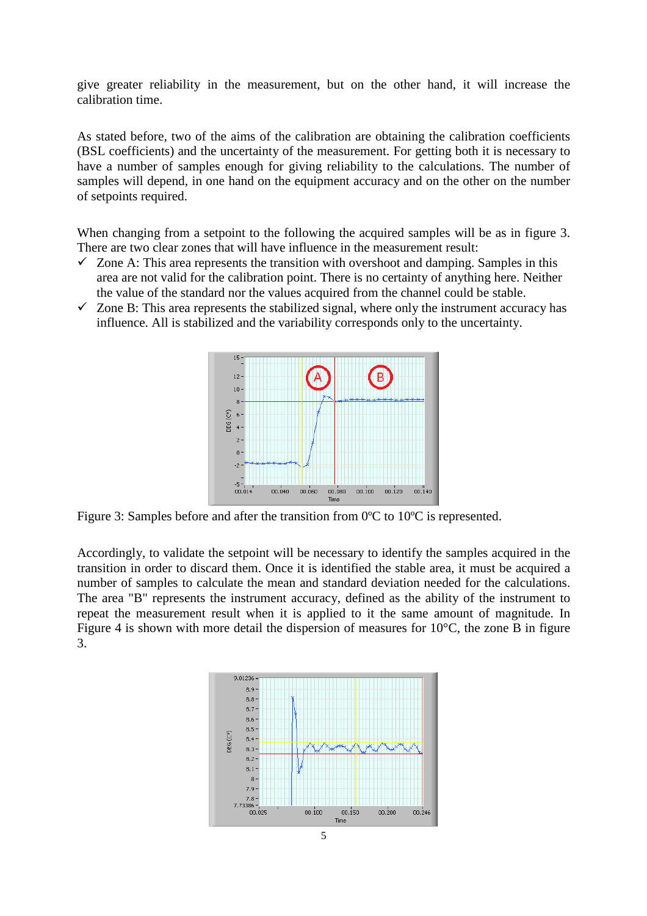give greater reliability in the measurement, but on the other hand, it will increase the calibration time.

As stated before, two of the aims of the calibration are obtaining the calibration coefficients (BSL coefficients) and the uncertainty of the measurement. For getting both it is necessary to have a number of samples enough for giving reliability to the calculations. The number of samples will depend, in one hand on the equipment accuracy and on the other on the number of setpoints required.

When changing from a setpoint to the following the acquired samples will be as in figure 3. There are two clear zones that will have influence in the measurement result:

- $\checkmark$  Zone A: This area represents the transition with overshoot and damping. Samples in this area are not valid for the calibration point. There is no certainty of anything here. Neither the value of the standard nor the values acquired from the channel could be stable.
- $\checkmark$  Zone B: This area represents the stabilized signal, where only the instrument accuracy has influence. All is stabilized and the variability corresponds only to the uncertainty.



Figure 3: Samples before and after the transition from 0°C to 10°C is represented.

Accordingly, to validate the setpoint will be necessary to identify the samples acquired in the transition in order to discard them. Once it is identified the stable area, it must be acquired a number of samples to calculate the mean and standard deviation needed for the calculations. The area "B" represents the instrument accuracy, defined as the ability of the instrument to repeat the measurement result when it is applied to it the same amount of magnitude. In Figure 4 is shown with more detail the dispersion of measures for 10°C, the zone B in figure 3.

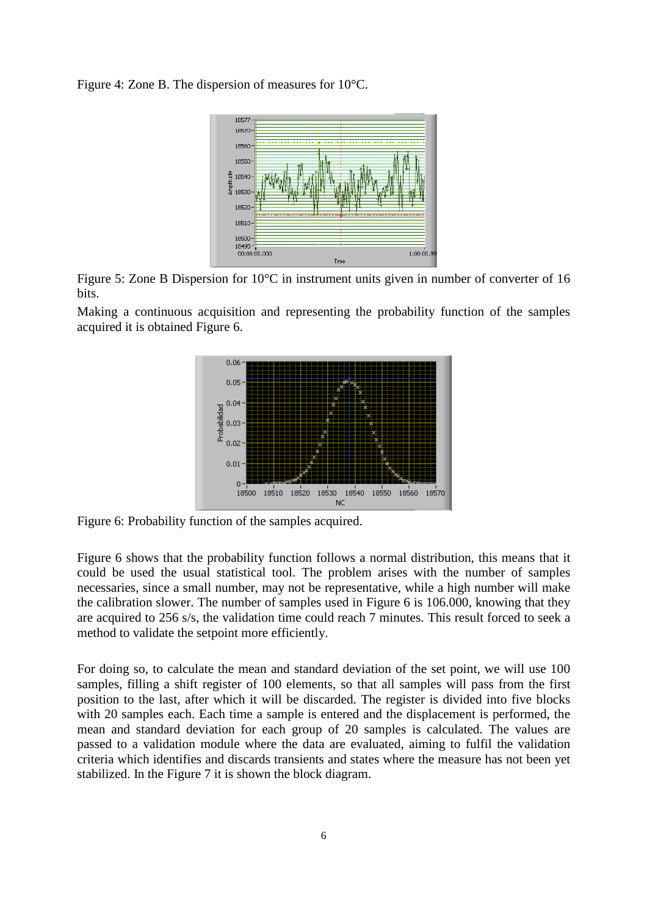Figure 4: Zone B. The dispersion of measures for 10°C.



Figure 5: Zone B Dispersion for 10°C in instrument units given in number of converter of 16 bits.

Making a continuous acquisition and representing the probability function of the samples acquired it is obtained Figure 6.



Figure 6: Probability function of the samples acquired.

Figure 6 shows that the probability function follows a normal distribution, this means that it could be used the usual statistical tool. The problem arises with the number of samples necessaries, since a small number, may not be representative, while a high number will make the calibration slower. The number of samples used in Figure 6 is 106.000, knowing that they are acquired to 256 s/s, the validation time could reach 7 minutes. This result forced to seek a method to validate the setpoint more efficiently.

For doing so, to calculate the mean and standard deviation of the set point, we will use 100 samples, filling a shift register of 100 elements, so that all samples will pass from the first position to the last, after which it will be discarded. The register is divided into five blocks with 20 samples each. Each time a sample is entered and the displacement is performed, the mean and standard deviation for each group of 20 samples is calculated. The values are passed to a validation module where the data are evaluated, aiming to fulfil the validation criteria which identifies and discards transients and states where the measure has not been yet stabilized. In the Figure 7 it is shown the block diagram.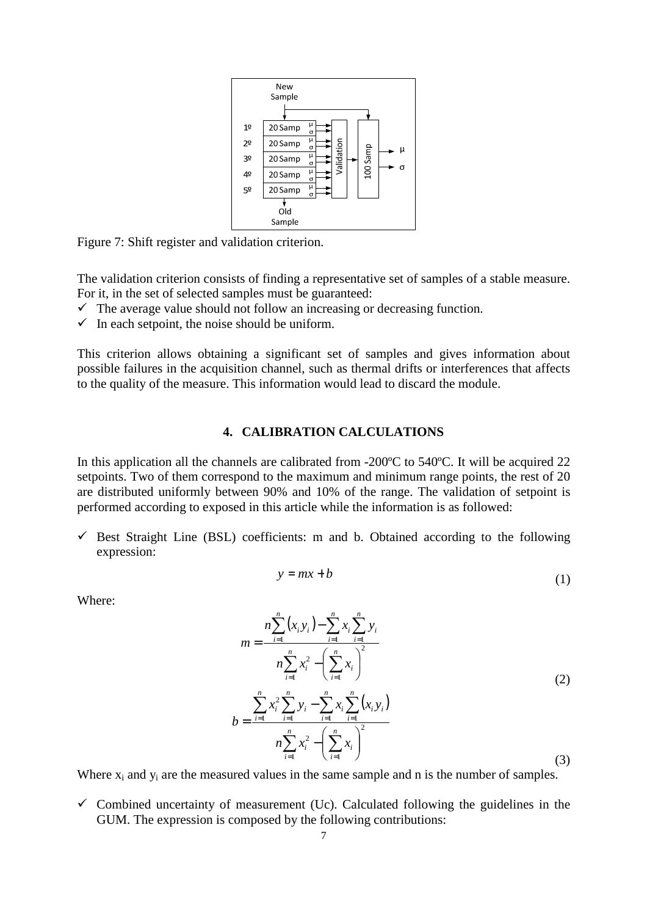

Figure 7: Shift register and validation criterion.

The validation criterion consists of finding a representative set of samples of a stable measure. For it, in the set of selected samples must be guaranteed:

- $\checkmark$  The average value should not follow an increasing or decreasing function.
- $\checkmark$  In each setpoint, the noise should be uniform.

This criterion allows obtaining a significant set of samples and gives information about possible failures in the acquisition channel, such as thermal drifts or interferences that affects to the quality of the measure. This information would lead to discard the module.

## **4. CALIBRATION CALCULATIONS**

In this application all the channels are calibrated from -200ºC to 540ºC. It will be acquired 22 setpoints. Two of them correspond to the maximum and minimum range points, the rest of 20 are distributed uniformly between 90% and 10% of the range. The validation of setpoint is performed according to exposed in this article while the information is as followed:

 $\checkmark$  Best Straight Line (BSL) coefficients: m and b. Obtained according to the following expression:

$$
y = mx + b \tag{1}
$$

Where:

$$
m = \frac{n \sum_{i=1}^{n} (x_i y_i) - \sum_{i=1}^{n} x_i \sum_{i=1}^{n} y_i}{n \sum_{i=1}^{n} x_i^2 - \left(\sum_{i=1}^{n} x_i\right)^2}
$$
  
\n
$$
b = \frac{\sum_{i=1}^{n} x_i^2 \sum_{i=1}^{n} y_i - \sum_{i=1}^{n} x_i \sum_{i=1}^{n} (x_i y_i)}{n \sum_{i=1}^{n} x_i^2 - \left(\sum_{i=1}^{n} x_i\right)^2}
$$
\n(2)

Where  $x_i$  and  $y_i$  are the measured values in the same sample and n is the number of samples.

 $\checkmark$  Combined uncertainty of measurement (Uc). Calculated following the guidelines in the GUM. The expression is composed by the following contributions: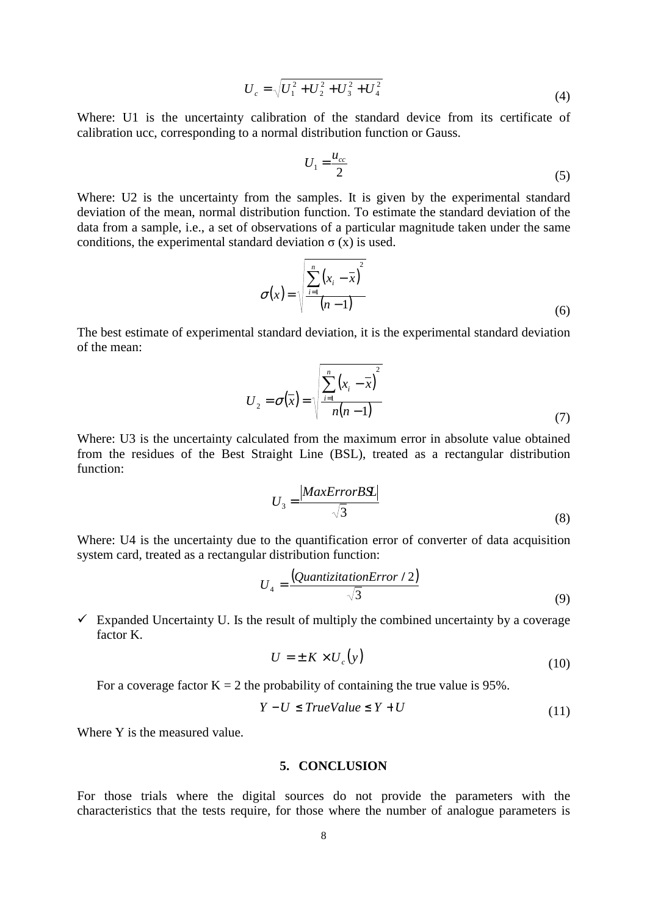$$
U_c = \sqrt{U_1^2 + U_2^2 + U_3^2 + U_4^2}
$$
 (4)

Where: U1 is the uncertainty calibration of the standard device from its certificate of calibration ucc, corresponding to a normal distribution function or Gauss.

$$
U_1 = \frac{u_{cc}}{2} \tag{5}
$$

Where: U2 is the uncertainty from the samples. It is given by the experimental standard deviation of the mean, normal distribution function. To estimate the standard deviation of the data from a sample, i.e., a set of observations of a particular magnitude taken under the same conditions, the experimental standard deviation  $\sigma(x)$  is used.

$$
\sigma(x) = \sqrt{\frac{\sum_{i=1}^{n} (x_i - \overline{x})^2}{(n-1)}}
$$
\n(6)

The best estimate of experimental standard deviation, it is the experimental standard deviation of the mean:

$$
U_2 = \sigma(\overline{x}) = \sqrt{\frac{\sum_{i=1}^{n} (x_i - \overline{x})^2}{n(n-1)}}
$$
(7)

Where: U3 is the uncertainty calculated from the maximum error in absolute value obtained from the residues of the Best Straight Line (BSL), treated as a rectangular distribution function:

$$
U_3 = \frac{|MaxError B\mathfrak{L}|}{\sqrt{3}}
$$
 (8)

Where: U4 is the uncertainty due to the quantification error of converter of data acquisition system card, treated as a rectangular distribution function:

$$
U_4 = \frac{(QuantizationError / 2)}{\sqrt{3}}
$$
(9)

 $\checkmark$  Expanded Uncertainty U. Is the result of multiply the combined uncertainty by a coverage factor K.

 $\mathbb{R}^2$ 

$$
U = \pm K \times U_c(y) \tag{10}
$$

For a coverage factor  $K = 2$  the probability of containing the true value is 95%.

$$
Y - U \le TrueValue \le Y + U \tag{11}
$$

Where Y is the measured value.

## **5. CONCLUSION**

For those trials where the digital sources do not provide the parameters with the characteristics that the tests require, for those where the number of analogue parameters is